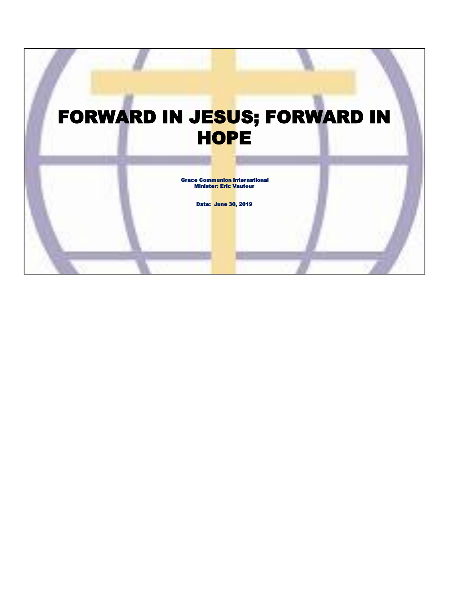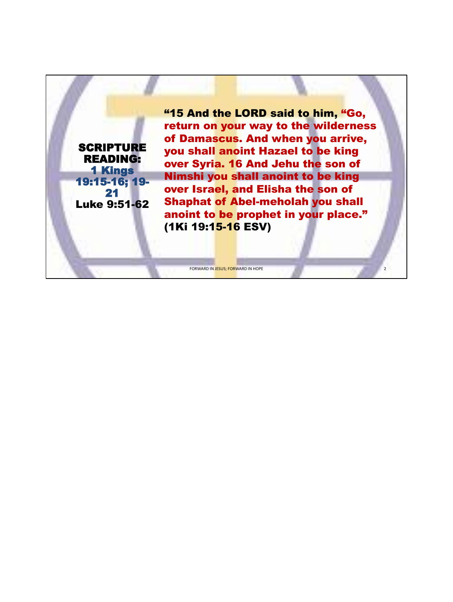**SCRIPTURE** READING: 1 Kings 19:15-16; 19- 21 Luke 9:51-62 "15 And the LORD said to him, "Go, return on your way to the wilderness of Damascus. And when you arrive, you shall anoint Hazael to be king over Syria. 16 And Jehu the son of Nimshi you shall anoint to be king over Israel, and Elisha the son of Shaphat of Abel-meholah you shall anoint to be prophet in your place." (1Ki 19:15-16 ESV)

FORWARD IN JESUS; FORWARD IN HOPE

2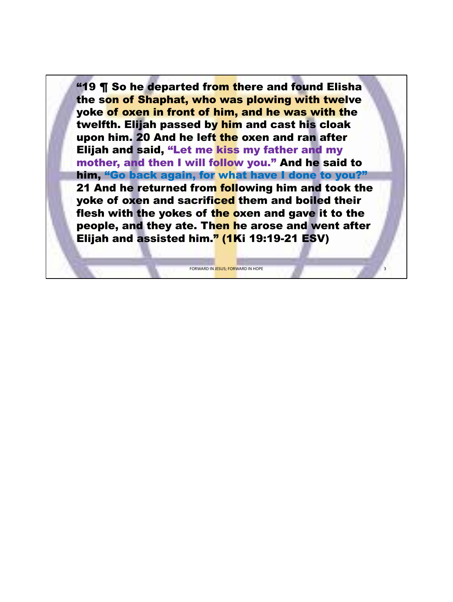**"19 ¶ So he departed from there and found Elisha** the son of Shaphat, who was plowing with twelve yoke of oxen in front of him, and he was with the twelfth. Elijah passed by him and cast his cloak upon him. 20 And he left the oxen and ran after Elijah and said, "Let me kiss my father and my mother, and then I will follow you." And he said to him, "Go back again, for what have I done to you?" 21 And he returned from following him and took the yoke of oxen and sacrificed them and boiled their flesh with the yokes of the oxen and gave it to the people, and they ate. Then he arose and went after Elijah and assisted him." (1Ki 19:19-21 ESV)

FORWARD IN JESUS; FORWARD IN HOPE

3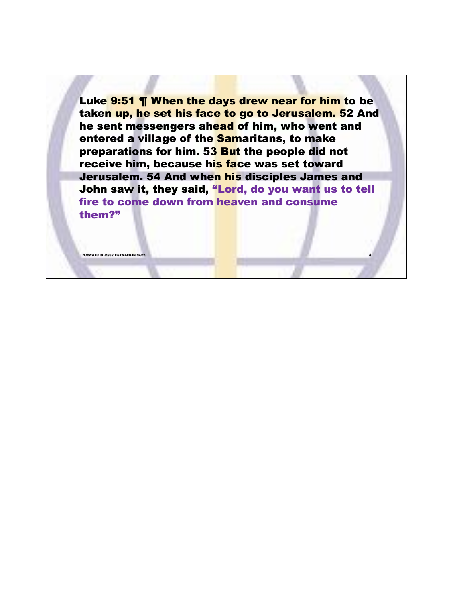Luke 9:51 ¶ When the days drew near for him to be taken up, he set his face to go to Jerusalem. 52 And he sent messengers ahead of him, who went and entered a village of the Samaritans, to make preparations for him. 53 But the people did not receive him, because his face was set toward Jerusalem. 54 And when his disciples James and John saw it, they said, "Lord, do you want us to tell fire to come down from heaven and consume them?"

**4**

**FORWARD IN JESUS; FORWARD IN HOPE**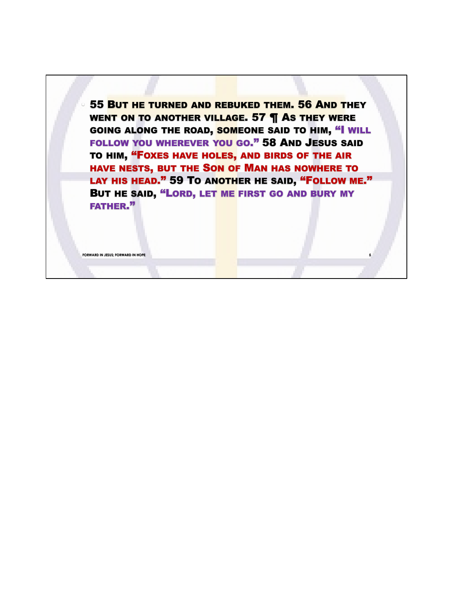• 55 BUT HE TURNED AND REBUKED THEM. 56 AND THEY WENT ON TO ANOTHER VILLAGE. 57 **T** AS THEY WERE GOING ALONG THE ROAD, SOMEONE SAID TO HIM, "I WILL FOLLOW YOU WHEREVER YOU GO." 58 AND JESUS SAID TO HIM, "FOXES HAVE HOLES, AND BIRDS OF THE AIR HAVE NESTS, BUT THE SON OF MAN HAS NOWHERE TO LAY HIS HEAD." 59 TO ANOTHER HE SAID, "FOLLOW ME." BUT HE SAID, "LORD, LET ME FIRST GO AND BURY MY FATHER."

**FORWARD IN JESUS; FORWARD IN HOPI**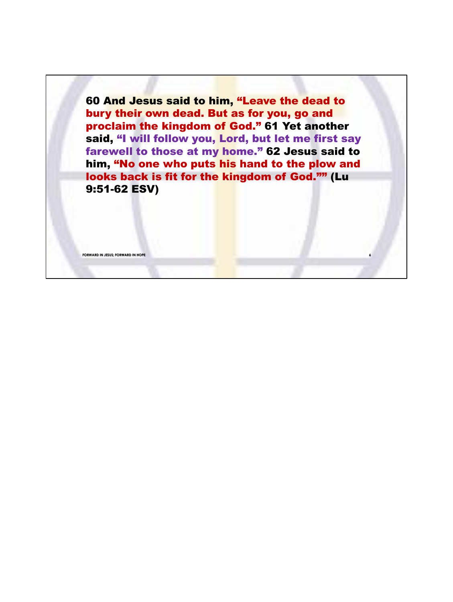60 And Jesus said to him, "Leave the dead to bury their own dead. But as for you, go and proclaim the kingdom of God." 61 Yet another said, "I will follow you, Lord, but let me first say farewell to those at my home." 62 Jesus said to him, "No one who puts his hand to the plow and looks back is fit for the kingdom of God."" (Lu 9:51-62 ESV)

**FORWARD IN JESUS; FORWARD IN HOPE**

**6**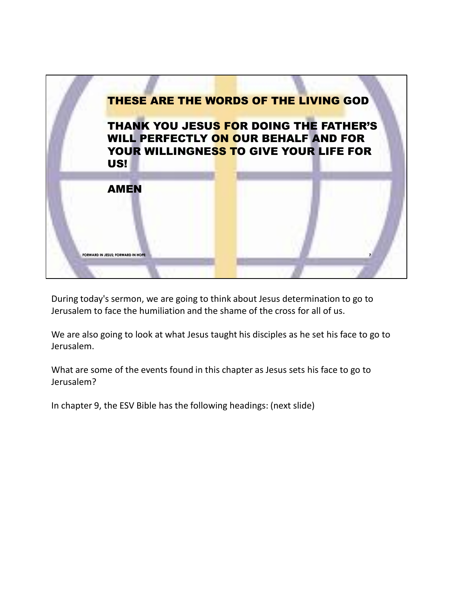

During today's sermon, we are going to think about Jesus determination to go to Jerusalem to face the humiliation and the shame of the cross for all of us.

We are also going to look at what Jesus taught his disciples as he set his face to go to Jerusalem.

What are some of the events found in this chapter as Jesus sets his face to go to Jerusalem?

In chapter 9, the ESV Bible has the following headings: (next slide)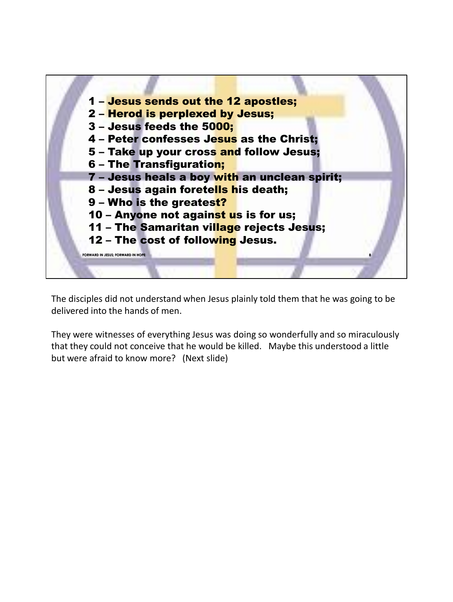

The disciples did not understand when Jesus plainly told them that he was going to be delivered into the hands of men.

They were witnesses of everything Jesus was doing so wonderfully and so miraculously that they could not conceive that he would be killed. Maybe this understood a little but were afraid to know more? (Next slide)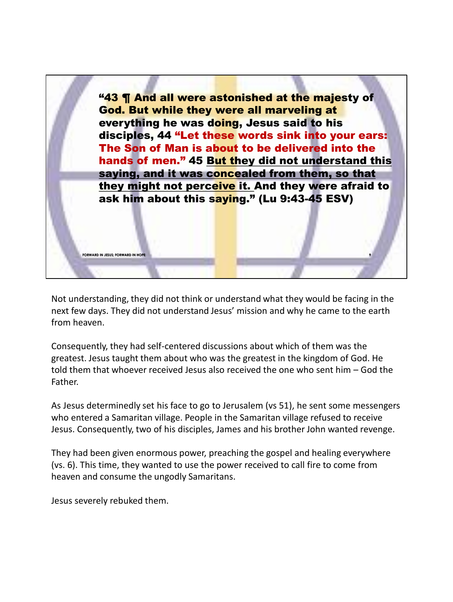

Not understanding, they did not think or understand what they would be facing in the next few days. They did not understand Jesus' mission and why he came to the earth from heaven.

Consequently, they had self-centered discussions about which of them was the greatest. Jesus taught them about who was the greatest in the kingdom of God. He told them that whoever received Jesus also received the one who sent him – God the Father.

As Jesus determinedly set his face to go to Jerusalem (vs 51), he sent some messengers who entered a Samaritan village. People in the Samaritan village refused to receive Jesus. Consequently, two of his disciples, James and his brother John wanted revenge.

They had been given enormous power, preaching the gospel and healing everywhere (vs. 6). This time, they wanted to use the power received to call fire to come from heaven and consume the ungodly Samaritans.

Jesus severely rebuked them.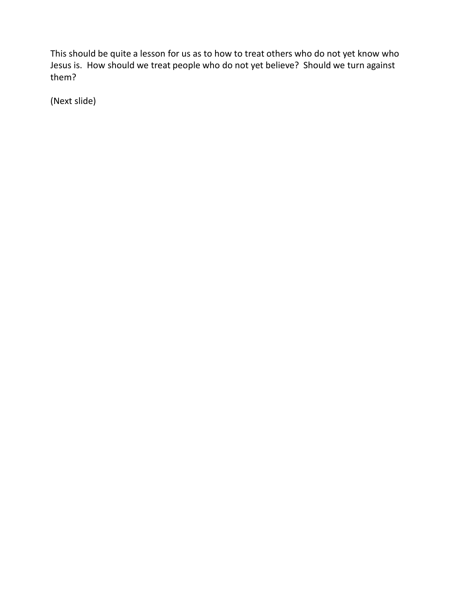This should be quite a lesson for us as to how to treat others who do not yet know who Jesus is. How should we treat people who do not yet believe? Should we turn against them?

(Next slide)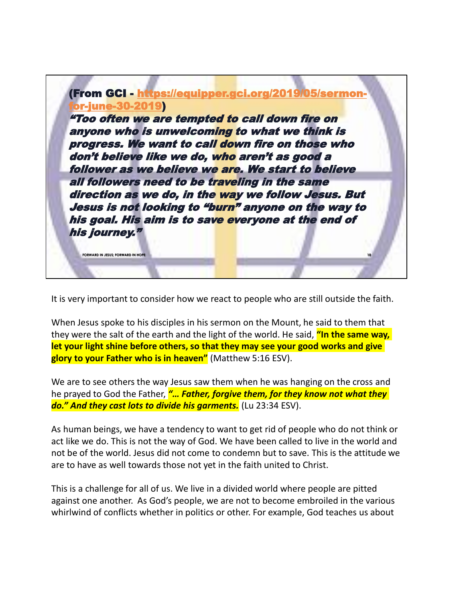

It is very important to consider how we react to people who are still outside the faith.

When Jesus spoke to his disciples in his sermon on the Mount, he said to them that they were the salt of the earth and the light of the world. He said, **"In the same way, let your light shine before others, so that they may see your good works and give glory to your Father who is in heaven"** (Matthew 5:16 ESV).

We are to see others the way Jesus saw them when he was hanging on the cross and he prayed to God the Father, *"… Father, forgive them, for they know not what they do." And they cast lots to divide his garments.* (Lu 23:34 ESV).

As human beings, we have a tendency to want to get rid of people who do not think or act like we do. This is not the way of God. We have been called to live in the world and not be of the world. Jesus did not come to condemn but to save. This is the attitude we are to have as well towards those not yet in the faith united to Christ.

This is a challenge for all of us. We live in a divided world where people are pitted against one another. As God's people, we are not to become embroiled in the various whirlwind of conflicts whether in politics or other. For example, God teaches us about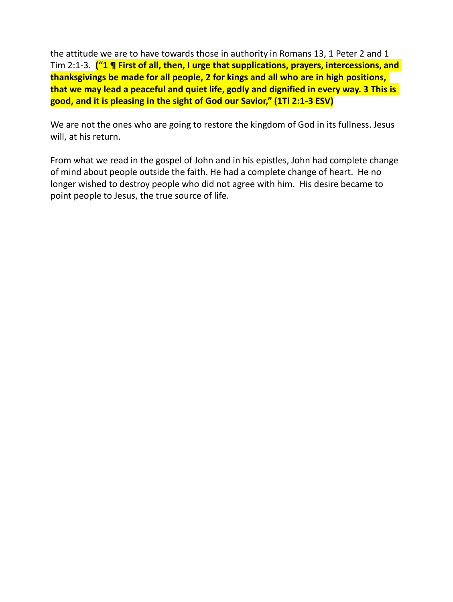the attitude we are to have towards those in authority in Romans 13, 1 Peter 2 and 1 Tim 2:1-3. **("1 ¶ First of all, then, I urge that supplications, prayers, intercessions, and thanksgivings be made for all people, 2 for kings and all who are in high positions, that we may lead a peaceful and quiet life, godly and dignified in every way. 3 This is good, and it is pleasing in the sight of God our Savior," (1Ti 2:1-3 ESV)**

We are not the ones who are going to restore the kingdom of God in its fullness. Jesus will, at his return.

From what we read in the gospel of John and in his epistles, John had complete change of mind about people outside the faith. He had a complete change of heart. He no longer wished to destroy people who did not agree with him. His desire became to point people to Jesus, the true source of life.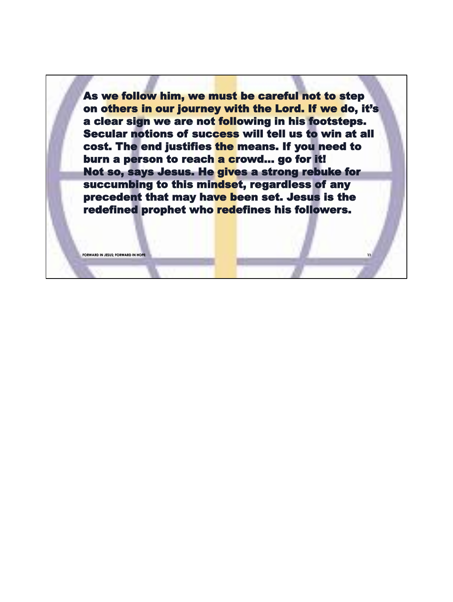As we follow him, we must be careful not to step on others in our journey with the Lord. If we do, it's a clear sign we are not following in his footsteps. Secular notions of success will tell us to win at all cost. The end justifies the means. If you need to burn a person to reach a crowd... go for it! Not so, says Jesus. He gives a strong rebuke for succumbing to this mindset, regardless of any precedent that may have been set. Jesus is the redefined prophet who redefines his followers.

**11**

**FORWARD IN JESUS; FORWARD IN HOPE**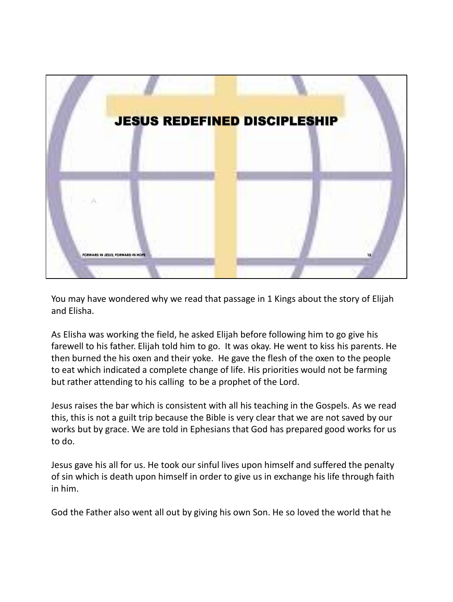

You may have wondered why we read that passage in 1 Kings about the story of Elijah and Elisha.

As Elisha was working the field, he asked Elijah before following him to go give his farewell to his father. Elijah told him to go. It was okay. He went to kiss his parents. He then burned the his oxen and their yoke. He gave the flesh of the oxen to the people to eat which indicated a complete change of life. His priorities would not be farming but rather attending to his calling to be a prophet of the Lord.

Jesus raises the bar which is consistent with all his teaching in the Gospels. As we read this, this is not a guilt trip because the Bible is very clear that we are not saved by our works but by grace. We are told in Ephesians that God has prepared good works for us to do.

Jesus gave his all for us. He took our sinful lives upon himself and suffered the penalty of sin which is death upon himself in order to give us in exchange his life through faith in him.

God the Father also went all out by giving his own Son. He so loved the world that he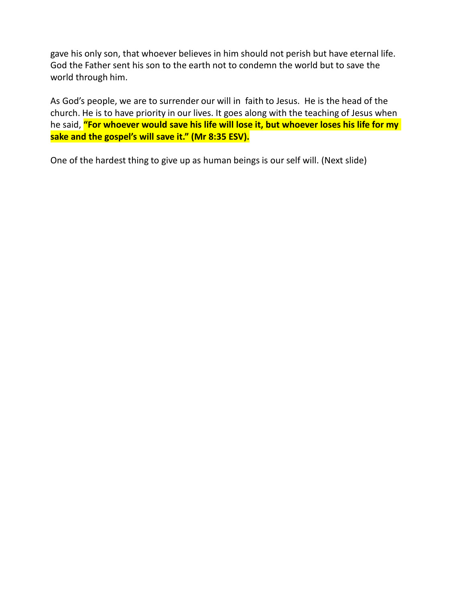gave his only son, that whoever believes in him should not perish but have eternal life. God the Father sent his son to the earth not to condemn the world but to save the world through him.

As God's people, we are to surrender our will in faith to Jesus. He is the head of the church. He is to have priority in our lives. It goes along with the teaching of Jesus when he said, **"For whoever would save his life will lose it, but whoever loses his life for my sake and the gospel's will save it." (Mr 8:35 ESV).**

One of the hardest thing to give up as human beings is our self will. (Next slide)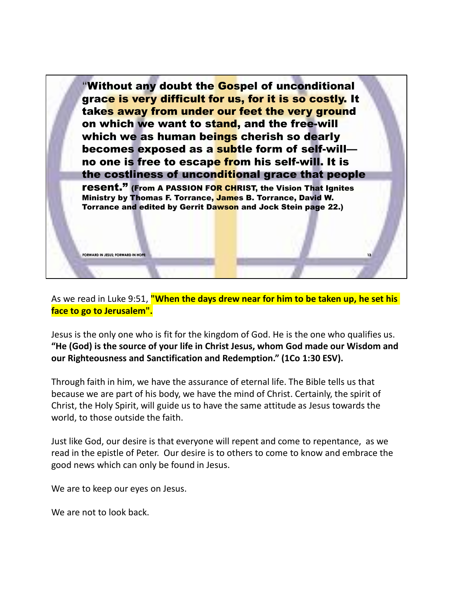

As we read in Luke 9:51, **"When the days drew near for him to be taken up, he set his face to go to Jerusalem".**

Jesus is the only one who is fit for the kingdom of God. He is the one who qualifies us. **"He (God) is the source of your life in Christ Jesus, whom God made our Wisdom and our Righteousness and Sanctification and Redemption." (1Co 1:30 ESV).**

Through faith in him, we have the assurance of eternal life. The Bible tells us that because we are part of his body, we have the mind of Christ. Certainly, the spirit of Christ, the Holy Spirit, will guide us to have the same attitude as Jesus towards the world, to those outside the faith.

Just like God, our desire is that everyone will repent and come to repentance, as we read in the epistle of Peter. Our desire is to others to come to know and embrace the good news which can only be found in Jesus.

We are to keep our eyes on Jesus.

We are not to look hack.